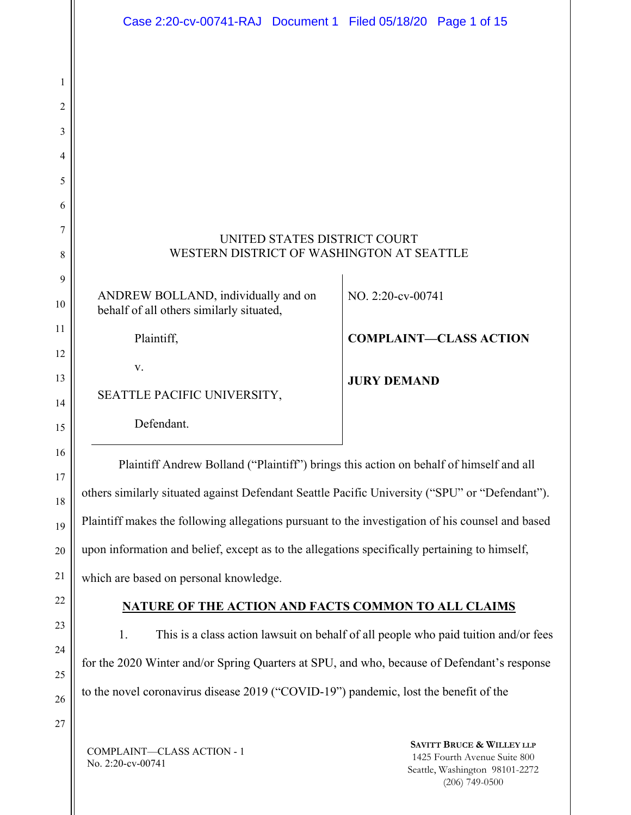| Case 2:20-cv-00741-RAJ Document 1 Filed 05/18/20 Page 1 of 15                                    |                                                                                                                                                                                                                            |  |  |  |  |  |  |  |
|--------------------------------------------------------------------------------------------------|----------------------------------------------------------------------------------------------------------------------------------------------------------------------------------------------------------------------------|--|--|--|--|--|--|--|
|                                                                                                  |                                                                                                                                                                                                                            |  |  |  |  |  |  |  |
|                                                                                                  |                                                                                                                                                                                                                            |  |  |  |  |  |  |  |
|                                                                                                  |                                                                                                                                                                                                                            |  |  |  |  |  |  |  |
|                                                                                                  |                                                                                                                                                                                                                            |  |  |  |  |  |  |  |
|                                                                                                  |                                                                                                                                                                                                                            |  |  |  |  |  |  |  |
|                                                                                                  |                                                                                                                                                                                                                            |  |  |  |  |  |  |  |
|                                                                                                  |                                                                                                                                                                                                                            |  |  |  |  |  |  |  |
| UNITED STATES DISTRICT COURT                                                                     |                                                                                                                                                                                                                            |  |  |  |  |  |  |  |
| WESTERN DISTRICT OF WASHINGTON AT SEATTLE                                                        |                                                                                                                                                                                                                            |  |  |  |  |  |  |  |
|                                                                                                  | NO. 2:20-cv-00741                                                                                                                                                                                                          |  |  |  |  |  |  |  |
| behalf of all others similarly situated,                                                         |                                                                                                                                                                                                                            |  |  |  |  |  |  |  |
| Plaintiff,                                                                                       | <b>COMPLAINT-CLASS ACTION</b>                                                                                                                                                                                              |  |  |  |  |  |  |  |
| V.                                                                                               |                                                                                                                                                                                                                            |  |  |  |  |  |  |  |
| SEATTLE PACIFIC UNIVERSITY,                                                                      | <b>JURY DEMAND</b>                                                                                                                                                                                                         |  |  |  |  |  |  |  |
| Defendant.                                                                                       |                                                                                                                                                                                                                            |  |  |  |  |  |  |  |
|                                                                                                  |                                                                                                                                                                                                                            |  |  |  |  |  |  |  |
| Plaintiff Andrew Bolland ("Plaintiff") brings this action on behalf of himself and all           |                                                                                                                                                                                                                            |  |  |  |  |  |  |  |
| others similarly situated against Defendant Seattle Pacific University ("SPU" or "Defendant").   |                                                                                                                                                                                                                            |  |  |  |  |  |  |  |
| Plaintiff makes the following allegations pursuant to the investigation of his counsel and based |                                                                                                                                                                                                                            |  |  |  |  |  |  |  |
| upon information and belief, except as to the allegations specifically pertaining to himself,    |                                                                                                                                                                                                                            |  |  |  |  |  |  |  |
| which are based on personal knowledge.                                                           |                                                                                                                                                                                                                            |  |  |  |  |  |  |  |
| <b>NATURE OF THE ACTION AND FACTS COMMON TO ALL CLAIMS</b>                                       |                                                                                                                                                                                                                            |  |  |  |  |  |  |  |
| 1.                                                                                               | This is a class action lawsuit on behalf of all people who paid tuition and/or fees                                                                                                                                        |  |  |  |  |  |  |  |
|                                                                                                  |                                                                                                                                                                                                                            |  |  |  |  |  |  |  |
|                                                                                                  |                                                                                                                                                                                                                            |  |  |  |  |  |  |  |
|                                                                                                  |                                                                                                                                                                                                                            |  |  |  |  |  |  |  |
|                                                                                                  | AVITT ROLLOP & WILL FV                                                                                                                                                                                                     |  |  |  |  |  |  |  |
|                                                                                                  | ANDREW BOLLAND, individually and on<br>for the 2020 Winter and/or Spring Quarters at SPU, and who, because of Defendant's response<br>to the novel coronavirus disease 2019 ("COVID-19") pandemic, lost the benefit of the |  |  |  |  |  |  |  |

COMPLAINT—CLASS ACTION - 1 No. 2:20-cv-00741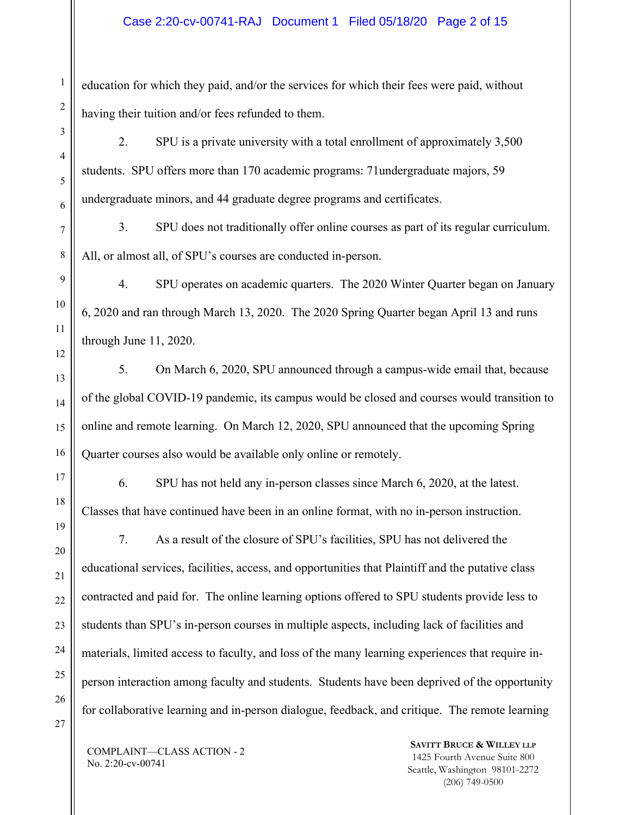education for which they paid, and/or the services for which their fees were paid, without having their tuition and/or fees refunded to them.

- 2. SPU is a private university with a total enrollment of approximately 3,500 students. SPU offers more than 170 academic programs: 71undergraduate majors, 59 undergraduate minors, and 44 graduate degree programs and certificates.
- 3. SPU does not traditionally offer online courses as part of its regular curriculum. All, or almost all, of SPU's courses are conducted in-person.
- 4. SPU operates on academic quarters. The 2020 Winter Quarter began on January 6, 2020 and ran through March 13, 2020. The 2020 Spring Quarter began April 13 and runs through June 11, 2020.
- 5. On March 6, 2020, SPU announced through a campus-wide email that, because of the global COVID-19 pandemic, its campus would be closed and courses would transition to online and remote learning. On March 12, 2020, SPU announced that the upcoming Spring Quarter courses also would be available only online or remotely.
- 17

1

2

3

4

5

6

7

8

9

10

11

12

13

14

15

16

18

19

20

21

22

23

24

25

26

6. SPU has not held any in-person classes since March 6, 2020, at the latest. Classes that have continued have been in an online format, with no in-person instruction.

7. As a result of the closure of SPU's facilities, SPU has not delivered the educational services, facilities, access, and opportunities that Plaintiff and the putative class contracted and paid for. The online learning options offered to SPU students provide less to students than SPU's in-person courses in multiple aspects, including lack of facilities and materials, limited access to faculty, and loss of the many learning experiences that require inperson interaction among faculty and students. Students have been deprived of the opportunity for collaborative learning and in-person dialogue, feedback, and critique. The remote learning

27

COMPLAINT—CLASS ACTION - 2 No. 2:20-cv-00741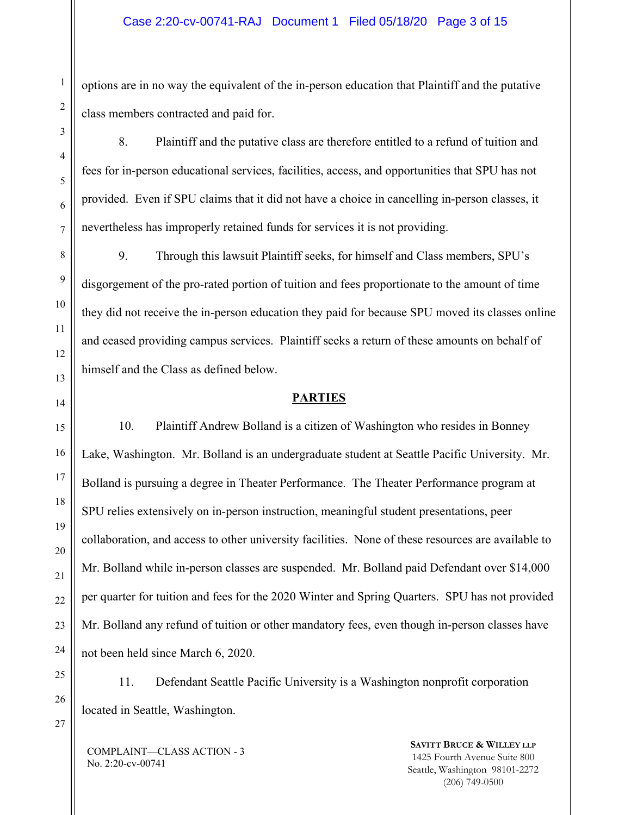options are in no way the equivalent of the in-person education that Plaintiff and the putative class members contracted and paid for.

8. Plaintiff and the putative class are therefore entitled to a refund of tuition and fees for in-person educational services, facilities, access, and opportunities that SPU has not provided. Even if SPU claims that it did not have a choice in cancelling in-person classes, it nevertheless has improperly retained funds for services it is not providing.

9. Through this lawsuit Plaintiff seeks, for himself and Class members, SPU's disgorgement of the pro-rated portion of tuition and fees proportionate to the amount of time they did not receive the in-person education they paid for because SPU moved its classes online and ceased providing campus services. Plaintiff seeks a return of these amounts on behalf of himself and the Class as defined below.

## **PARTIES**

10. Plaintiff Andrew Bolland is a citizen of Washington who resides in Bonney Lake, Washington. Mr. Bolland is an undergraduate student at Seattle Pacific University. Mr. Bolland is pursuing a degree in Theater Performance. The Theater Performance program at SPU relies extensively on in-person instruction, meaningful student presentations, peer collaboration, and access to other university facilities. None of these resources are available to Mr. Bolland while in-person classes are suspended. Mr. Bolland paid Defendant over \$14,000 per quarter for tuition and fees for the 2020 Winter and Spring Quarters. SPU has not provided Mr. Bolland any refund of tuition or other mandatory fees, even though in-person classes have not been held since March 6, 2020.

11. Defendant Seattle Pacific University is a Washington nonprofit corporation located in Seattle, Washington.

COMPLAINT—CLASS ACTION - 3 No. 2:20-cv-00741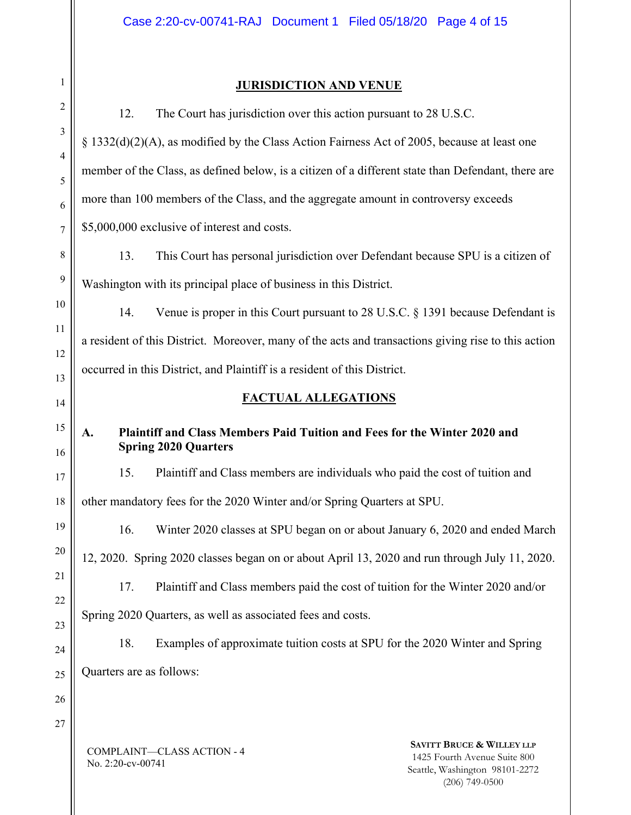## **JURISDICTION AND VENUE**

COMPLAINT—CLASS ACTION - 4 No. 2:20-cv-00741 **SAVITT BRUCE & WILLEY LLP** 1425 Fourth Avenue Suite 800 Seattle, Washington 98101-2272 (206) 749-0500 12. The Court has jurisdiction over this action pursuant to 28 U.S.C. § 1332(d)(2)(A), as modified by the Class Action Fairness Act of 2005, because at least one member of the Class, as defined below, is a citizen of a different state than Defendant, there are more than 100 members of the Class, and the aggregate amount in controversy exceeds \$5,000,000 exclusive of interest and costs. 13. This Court has personal jurisdiction over Defendant because SPU is a citizen of Washington with its principal place of business in this District. 14. Venue is proper in this Court pursuant to 28 U.S.C. § 1391 because Defendant is a resident of this District. Moreover, many of the acts and transactions giving rise to this action occurred in this District, and Plaintiff is a resident of this District. **FACTUAL ALLEGATIONS A. Plaintiff and Class Members Paid Tuition and Fees for the Winter 2020 and Spring 2020 Quarters**  15. Plaintiff and Class members are individuals who paid the cost of tuition and other mandatory fees for the 2020 Winter and/or Spring Quarters at SPU. 16. Winter 2020 classes at SPU began on or about January 6, 2020 and ended March 12, 2020. Spring 2020 classes began on or about April 13, 2020 and run through July 11, 2020. 17. Plaintiff and Class members paid the cost of tuition for the Winter 2020 and/or Spring 2020 Quarters, as well as associated fees and costs. 18. Examples of approximate tuition costs at SPU for the 2020 Winter and Spring Quarters are as follows: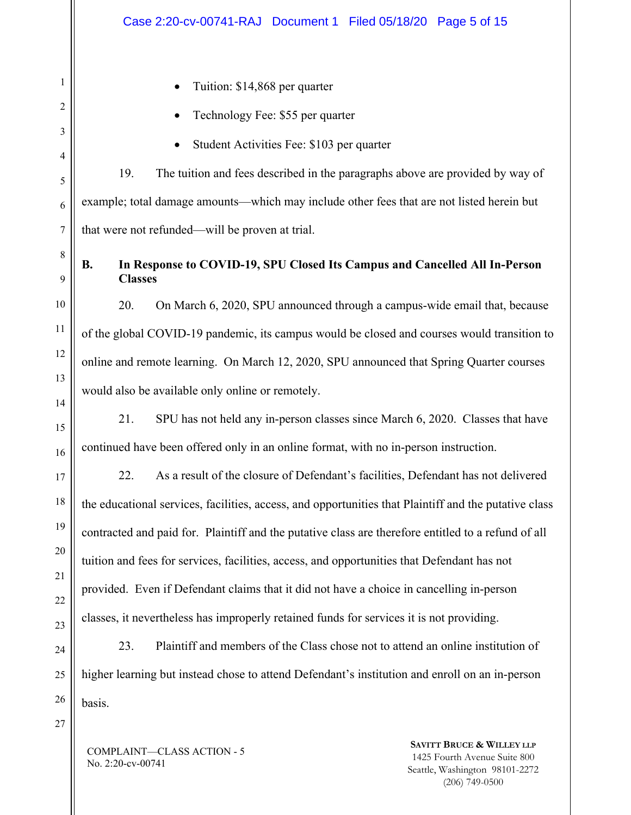- Tuition: \$14,868 per quarter
- Technology Fee: \$55 per quarter
- Student Activities Fee: \$103 per quarter

19. The tuition and fees described in the paragraphs above are provided by way of example; total damage amounts—which may include other fees that are not listed herein but that were not refunded—will be proven at trial.

## **B. In Response to COVID-19, SPU Closed Its Campus and Cancelled All In-Person Classes**

20. On March 6, 2020, SPU announced through a campus-wide email that, because of the global COVID-19 pandemic, its campus would be closed and courses would transition to online and remote learning. On March 12, 2020, SPU announced that Spring Quarter courses would also be available only online or remotely.

21. SPU has not held any in-person classes since March 6, 2020. Classes that have continued have been offered only in an online format, with no in-person instruction.

22. As a result of the closure of Defendant's facilities, Defendant has not delivered the educational services, facilities, access, and opportunities that Plaintiff and the putative class contracted and paid for. Plaintiff and the putative class are therefore entitled to a refund of all tuition and fees for services, facilities, access, and opportunities that Defendant has not provided. Even if Defendant claims that it did not have a choice in cancelling in-person classes, it nevertheless has improperly retained funds for services it is not providing.

24 25 26 23. Plaintiff and members of the Class chose not to attend an online institution of higher learning but instead chose to attend Defendant's institution and enroll on an in-person basis.

27

1

2

3

4

5

6

7

8

9

10

11

12

13

14

15

16

17

18

19

20

21

22

23

COMPLAINT—CLASS ACTION - 5 No. 2:20-cv-00741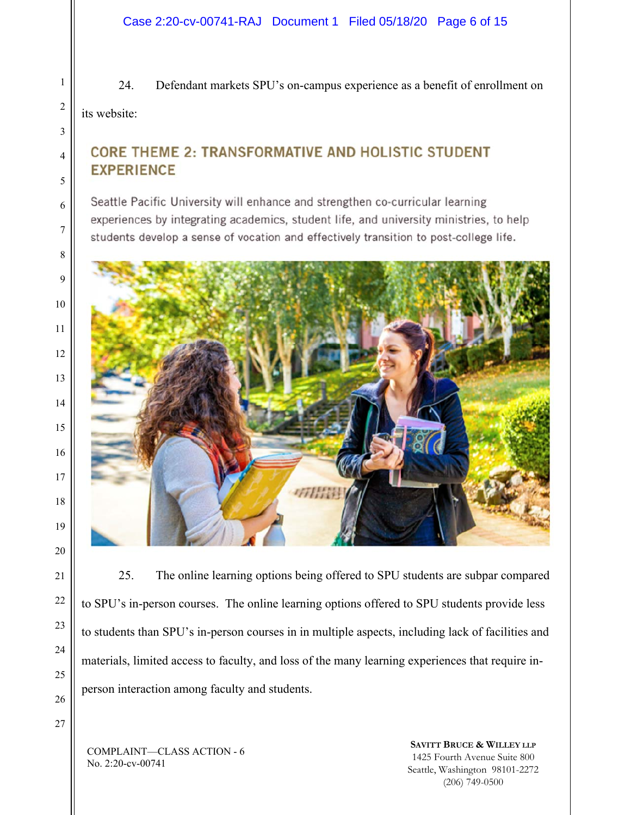24. Defendant markets SPU's on-campus experience as a benefit of enrollment on

its website:

## **CORE THEME 2: TRANSFORMATIVE AND HOLISTIC STUDENT EXPERIENCE**

Seattle Pacific University will enhance and strengthen co-curricular learning experiences by integrating academics, student life, and university ministries, to help students develop a sense of vocation and effectively transition to post-college life.



25. The online learning options being offered to SPU students are subpar compared to SPU's in-person courses. The online learning options offered to SPU students provide less to students than SPU's in-person courses in in multiple aspects, including lack of facilities and materials, limited access to faculty, and loss of the many learning experiences that require inperson interaction among faculty and students.

COMPLAINT—CLASS ACTION - 6 No. 2:20-cv-00741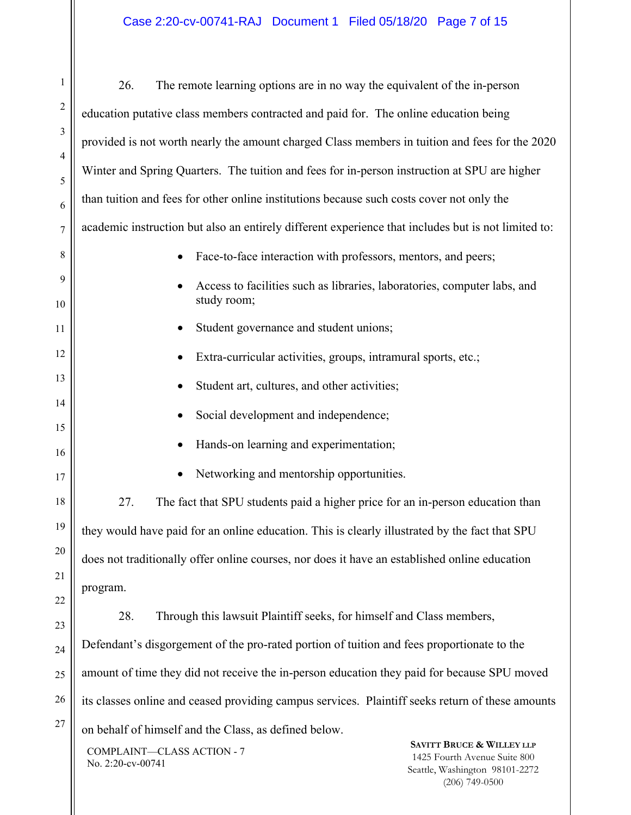| $\mathbf{1}$         | 26.<br>The remote learning options are in no way the equivalent of the in-person                                                                                              |  |  |  |  |  |  |  |
|----------------------|-------------------------------------------------------------------------------------------------------------------------------------------------------------------------------|--|--|--|--|--|--|--|
| $\sqrt{2}$           | education putative class members contracted and paid for. The online education being                                                                                          |  |  |  |  |  |  |  |
| $\mathfrak{Z}$       | provided is not worth nearly the amount charged Class members in tuition and fees for the 2020                                                                                |  |  |  |  |  |  |  |
| 4<br>5               | Winter and Spring Quarters. The tuition and fees for in-person instruction at SPU are higher                                                                                  |  |  |  |  |  |  |  |
| 6                    | than tuition and fees for other online institutions because such costs cover not only the                                                                                     |  |  |  |  |  |  |  |
| $\boldsymbol{7}$     | academic instruction but also an entirely different experience that includes but is not limited to:                                                                           |  |  |  |  |  |  |  |
| 8                    | Face-to-face interaction with professors, mentors, and peers;                                                                                                                 |  |  |  |  |  |  |  |
| $\overline{9}$<br>10 | Access to facilities such as libraries, laboratories, computer labs, and<br>study room;                                                                                       |  |  |  |  |  |  |  |
| 11                   | Student governance and student unions;                                                                                                                                        |  |  |  |  |  |  |  |
| 12                   | Extra-curricular activities, groups, intramural sports, etc.;                                                                                                                 |  |  |  |  |  |  |  |
| 13                   | Student art, cultures, and other activities;                                                                                                                                  |  |  |  |  |  |  |  |
| 14<br>15             | Social development and independence;                                                                                                                                          |  |  |  |  |  |  |  |
| 16                   | Hands-on learning and experimentation;                                                                                                                                        |  |  |  |  |  |  |  |
| 17                   | Networking and mentorship opportunities.                                                                                                                                      |  |  |  |  |  |  |  |
| 18                   | The fact that SPU students paid a higher price for an in-person education than<br>27.                                                                                         |  |  |  |  |  |  |  |
| 19                   | they would have paid for an online education. This is clearly illustrated by the fact that SPU                                                                                |  |  |  |  |  |  |  |
| 20 <sup>2</sup>      | does not traditionally offer online courses, nor does it have an established online education                                                                                 |  |  |  |  |  |  |  |
| 21<br>$^{22}$        | program.                                                                                                                                                                      |  |  |  |  |  |  |  |
| 23                   | 28.<br>Through this lawsuit Plaintiff seeks, for himself and Class members,                                                                                                   |  |  |  |  |  |  |  |
| 24                   | Defendant's disgorgement of the pro-rated portion of tuition and fees proportionate to the                                                                                    |  |  |  |  |  |  |  |
| 25                   | amount of time they did not receive the in-person education they paid for because SPU moved                                                                                   |  |  |  |  |  |  |  |
| 26                   | its classes online and ceased providing campus services. Plaintiff seeks return of these amounts                                                                              |  |  |  |  |  |  |  |
| 27                   | on behalf of himself and the Class, as defined below.                                                                                                                         |  |  |  |  |  |  |  |
|                      | <b>SAVITT BRUCE &amp; WILLEY LLP</b><br>COMPLAINT-CLASS ACTION - 7<br>1425 Fourth Avenue Suite 800<br>No. 2:20-cv-00741<br>Seattle, Washington 98101-2272<br>$(206)$ 749-0500 |  |  |  |  |  |  |  |

 $\parallel$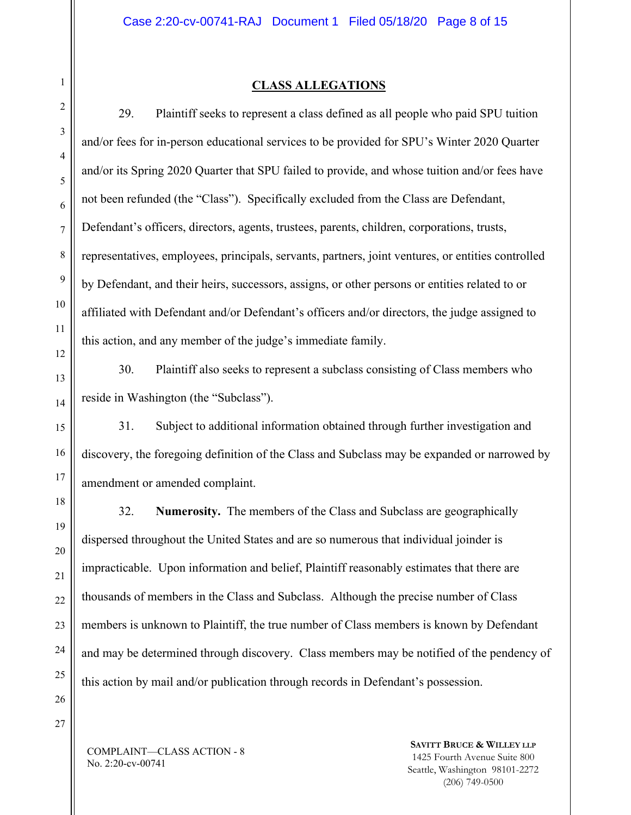## **CLASS ALLEGATIONS**

29. Plaintiff seeks to represent a class defined as all people who paid SPU tuition and/or fees for in-person educational services to be provided for SPU's Winter 2020 Quarter and/or its Spring 2020 Quarter that SPU failed to provide, and whose tuition and/or fees have not been refunded (the "Class"). Specifically excluded from the Class are Defendant, Defendant's officers, directors, agents, trustees, parents, children, corporations, trusts, representatives, employees, principals, servants, partners, joint ventures, or entities controlled by Defendant, and their heirs, successors, assigns, or other persons or entities related to or affiliated with Defendant and/or Defendant's officers and/or directors, the judge assigned to this action, and any member of the judge's immediate family.

30. Plaintiff also seeks to represent a subclass consisting of Class members who reside in Washington (the "Subclass").

31. Subject to additional information obtained through further investigation and discovery, the foregoing definition of the Class and Subclass may be expanded or narrowed by amendment or amended complaint.

32. **Numerosity.** The members of the Class and Subclass are geographically dispersed throughout the United States and are so numerous that individual joinder is impracticable. Upon information and belief, Plaintiff reasonably estimates that there are thousands of members in the Class and Subclass. Although the precise number of Class members is unknown to Plaintiff, the true number of Class members is known by Defendant and may be determined through discovery. Class members may be notified of the pendency of this action by mail and/or publication through records in Defendant's possession.

COMPLAINT—CLASS ACTION - 8 No. 2:20-cv-00741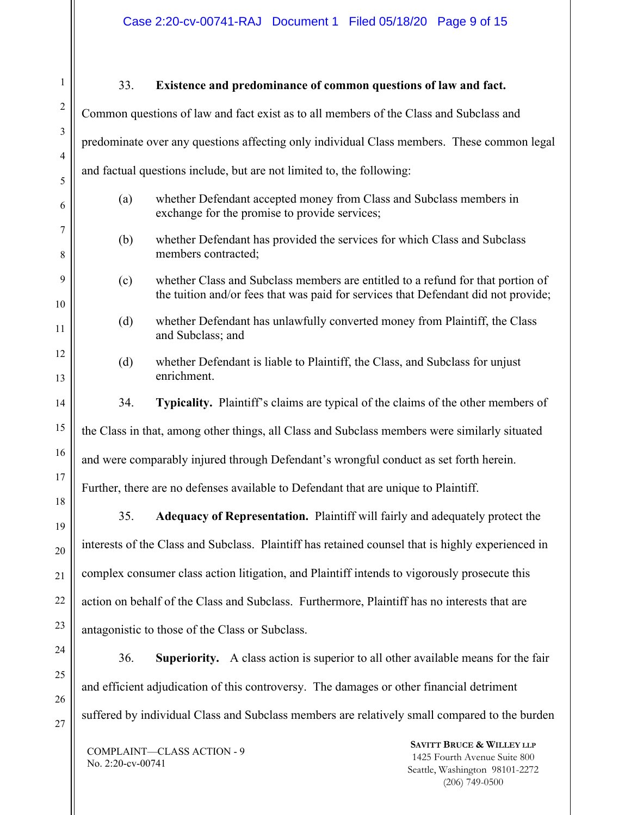Case 2:20-cv-00741-RAJ Document 1 Filed 05/18/20 Page 9 of 15

| $\mathbf{1}$        | 33.                                                                                                                         | Existence and predominance of common questions of law and fact.                                                                                                       |                                                                      |  |  |  |  |
|---------------------|-----------------------------------------------------------------------------------------------------------------------------|-----------------------------------------------------------------------------------------------------------------------------------------------------------------------|----------------------------------------------------------------------|--|--|--|--|
| $\overline{c}$      | Common questions of law and fact exist as to all members of the Class and Subclass and                                      |                                                                                                                                                                       |                                                                      |  |  |  |  |
| 3                   | predominate over any questions affecting only individual Class members. These common legal                                  |                                                                                                                                                                       |                                                                      |  |  |  |  |
| $\overline{4}$<br>5 | and factual questions include, but are not limited to, the following:                                                       |                                                                                                                                                                       |                                                                      |  |  |  |  |
| 6                   | whether Defendant accepted money from Class and Subclass members in<br>(a)<br>exchange for the promise to provide services; |                                                                                                                                                                       |                                                                      |  |  |  |  |
| 7<br>8              | (b)                                                                                                                         | whether Defendant has provided the services for which Class and Subclass<br>members contracted;                                                                       |                                                                      |  |  |  |  |
| 9<br>10             | (c)                                                                                                                         | whether Class and Subclass members are entitled to a refund for that portion of<br>the tuition and/or fees that was paid for services that Defendant did not provide; |                                                                      |  |  |  |  |
| 11                  | (d)                                                                                                                         | whether Defendant has unlawfully converted money from Plaintiff, the Class<br>and Subclass; and                                                                       |                                                                      |  |  |  |  |
| 12<br>13            | (d)                                                                                                                         | whether Defendant is liable to Plaintiff, the Class, and Subclass for unjust<br>enrichment.                                                                           |                                                                      |  |  |  |  |
| 14                  | 34.                                                                                                                         | Typicality. Plaintiff's claims are typical of the claims of the other members of                                                                                      |                                                                      |  |  |  |  |
| 15                  |                                                                                                                             | the Class in that, among other things, all Class and Subclass members were similarly situated                                                                         |                                                                      |  |  |  |  |
| 16                  | and were comparably injured through Defendant's wrongful conduct as set forth herein.                                       |                                                                                                                                                                       |                                                                      |  |  |  |  |
| 17                  | Further, there are no defenses available to Defendant that are unique to Plaintiff.                                         |                                                                                                                                                                       |                                                                      |  |  |  |  |
| 18<br>19            | 35.                                                                                                                         | Adequacy of Representation. Plaintiff will fairly and adequately protect the                                                                                          |                                                                      |  |  |  |  |
| 20                  |                                                                                                                             | interests of the Class and Subclass. Plaintiff has retained counsel that is highly experienced in                                                                     |                                                                      |  |  |  |  |
| 21                  | complex consumer class action litigation, and Plaintiff intends to vigorously prosecute this                                |                                                                                                                                                                       |                                                                      |  |  |  |  |
| 22                  | action on behalf of the Class and Subclass. Furthermore, Plaintiff has no interests that are                                |                                                                                                                                                                       |                                                                      |  |  |  |  |
| 23                  |                                                                                                                             | antagonistic to those of the Class or Subclass.                                                                                                                       |                                                                      |  |  |  |  |
| 24                  | 36.                                                                                                                         | Superiority. A class action is superior to all other available means for the fair                                                                                     |                                                                      |  |  |  |  |
| 25<br>26            |                                                                                                                             | and efficient adjudication of this controversy. The damages or other financial detriment                                                                              |                                                                      |  |  |  |  |
| 27                  | suffered by individual Class and Subclass members are relatively small compared to the burden                               |                                                                                                                                                                       |                                                                      |  |  |  |  |
|                     |                                                                                                                             | COMPLAINT-CLASS ACTION - 9                                                                                                                                            | <b>SAVITT BRUCE &amp; WILLEY LLP</b><br>1425 Fourth Avenue Suite 800 |  |  |  |  |

No. 2:20-cv-00741

 $\mathsf{I}\mathsf{I}$ 

1425 Fourth Avenue Suite 800 Seattle, Washington 98101-2272 (206) 749-0500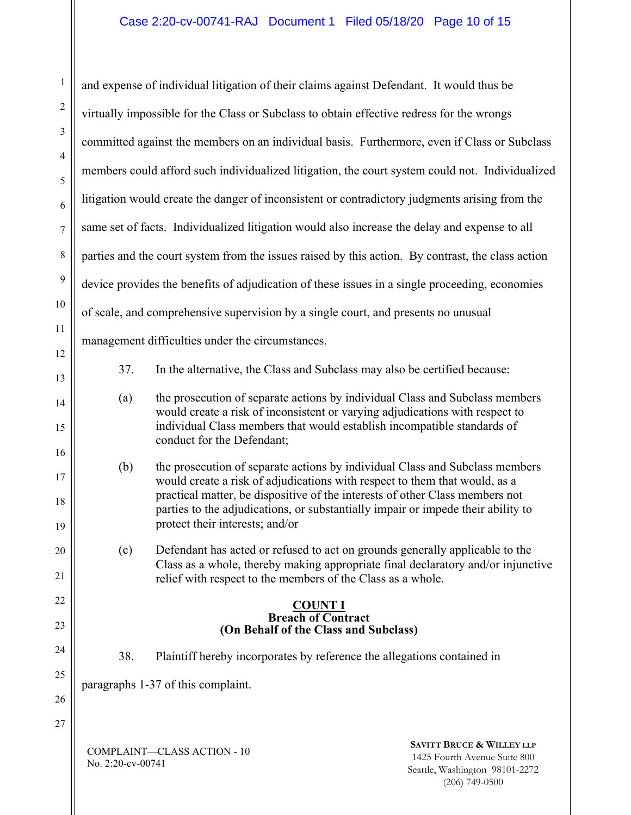## Case 2:20-cv-00741-RAJ Document 1 Filed 05/18/20 Page 10 of 15

COMPLAINT—CLASS ACTION - 10 No. 2:20-cv-00741 **SAVITT BRUCE & WILLEY LLP** 1425 Fourth Avenue Suite 800 Seattle, Washington 98101-2272 (206) 749-0500 1 2 3 4 5 6 7 8 9 10 11 12 13 14 15 16 17 18 19 20 21 22 23 24 25 26 27 and expense of individual litigation of their claims against Defendant. It would thus be virtually impossible for the Class or Subclass to obtain effective redress for the wrongs committed against the members on an individual basis. Furthermore, even if Class or Subclass members could afford such individualized litigation, the court system could not. Individualized litigation would create the danger of inconsistent or contradictory judgments arising from the same set of facts. Individualized litigation would also increase the delay and expense to all parties and the court system from the issues raised by this action. By contrast, the class action device provides the benefits of adjudication of these issues in a single proceeding, economies of scale, and comprehensive supervision by a single court, and presents no unusual management difficulties under the circumstances. 37. In the alternative, the Class and Subclass may also be certified because: (a) the prosecution of separate actions by individual Class and Subclass members would create a risk of inconsistent or varying adjudications with respect to individual Class members that would establish incompatible standards of conduct for the Defendant; (b) the prosecution of separate actions by individual Class and Subclass members would create a risk of adjudications with respect to them that would, as a practical matter, be dispositive of the interests of other Class members not parties to the adjudications, or substantially impair or impede their ability to protect their interests; and/or (c) Defendant has acted or refused to act on grounds generally applicable to the Class as a whole, thereby making appropriate final declaratory and/or injunctive relief with respect to the members of the Class as a whole. **COUNT I Breach of Contract (On Behalf of the Class and Subclass)**  38. Plaintiff hereby incorporates by reference the allegations contained in paragraphs 1-37 of this complaint.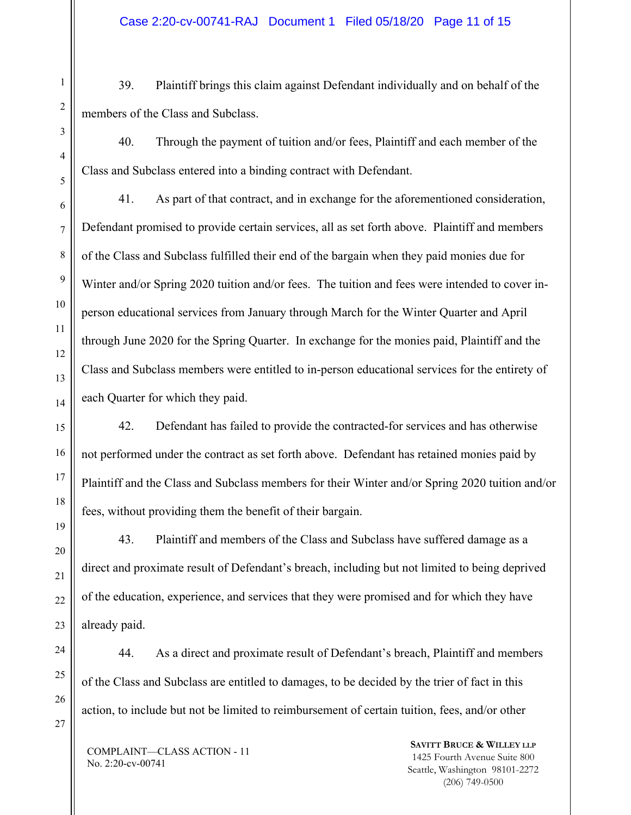39. Plaintiff brings this claim against Defendant individually and on behalf of the members of the Class and Subclass.

40. Through the payment of tuition and/or fees, Plaintiff and each member of the Class and Subclass entered into a binding contract with Defendant.

41. As part of that contract, and in exchange for the aforementioned consideration, Defendant promised to provide certain services, all as set forth above. Plaintiff and members of the Class and Subclass fulfilled their end of the bargain when they paid monies due for Winter and/or Spring 2020 tuition and/or fees. The tuition and fees were intended to cover inperson educational services from January through March for the Winter Quarter and April through June 2020 for the Spring Quarter. In exchange for the monies paid, Plaintiff and the Class and Subclass members were entitled to in-person educational services for the entirety of each Quarter for which they paid.

42. Defendant has failed to provide the contracted-for services and has otherwise not performed under the contract as set forth above. Defendant has retained monies paid by Plaintiff and the Class and Subclass members for their Winter and/or Spring 2020 tuition and/or fees, without providing them the benefit of their bargain.

43. Plaintiff and members of the Class and Subclass have suffered damage as a direct and proximate result of Defendant's breach, including but not limited to being deprived of the education, experience, and services that they were promised and for which they have already paid.

44. As a direct and proximate result of Defendant's breach, Plaintiff and members of the Class and Subclass are entitled to damages, to be decided by the trier of fact in this action, to include but not be limited to reimbursement of certain tuition, fees, and/or other

COMPLAINT—CLASS ACTION - 11 No. 2:20-cv-00741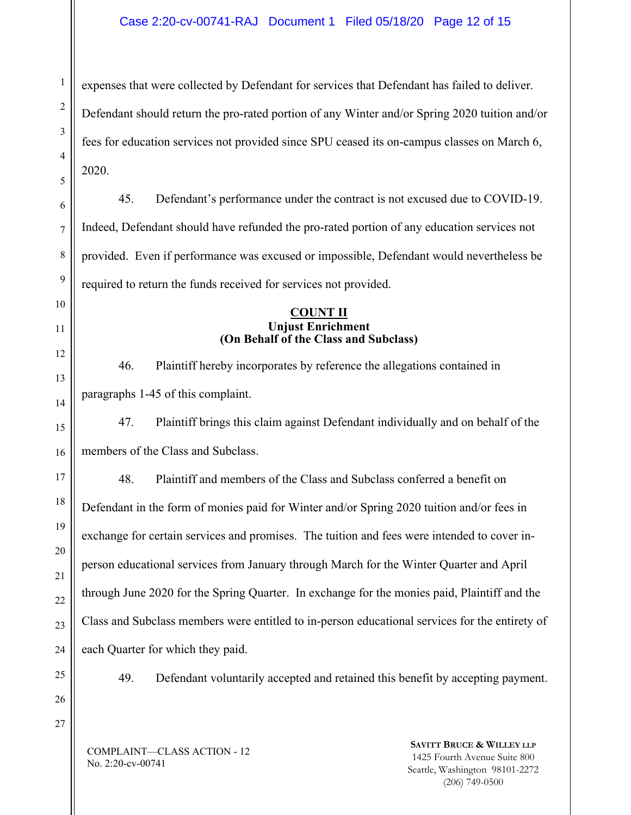COMPLAINT—CLASS ACTION - 12 **SAVITT BRUCE & WILLEY LLP** 1 2 3 4 5 6 7 8 9 10 11 12 13 14 15 16 17 18 19 20 21 22 23 24 25 26 27 expenses that were collected by Defendant for services that Defendant has failed to deliver. Defendant should return the pro-rated portion of any Winter and/or Spring 2020 tuition and/or fees for education services not provided since SPU ceased its on-campus classes on March 6, 2020. 45. Defendant's performance under the contract is not excused due to COVID-19. Indeed, Defendant should have refunded the pro-rated portion of any education services not provided. Even if performance was excused or impossible, Defendant would nevertheless be required to return the funds received for services not provided. **COUNT II Unjust Enrichment (On Behalf of the Class and Subclass)**  46. Plaintiff hereby incorporates by reference the allegations contained in paragraphs 1-45 of this complaint. 47. Plaintiff brings this claim against Defendant individually and on behalf of the members of the Class and Subclass. 48. Plaintiff and members of the Class and Subclass conferred a benefit on Defendant in the form of monies paid for Winter and/or Spring 2020 tuition and/or fees in exchange for certain services and promises. The tuition and fees were intended to cover inperson educational services from January through March for the Winter Quarter and April through June 2020 for the Spring Quarter. In exchange for the monies paid, Plaintiff and the Class and Subclass members were entitled to in-person educational services for the entirety of each Quarter for which they paid. 49. Defendant voluntarily accepted and retained this benefit by accepting payment.

No. 2:20-cv-00741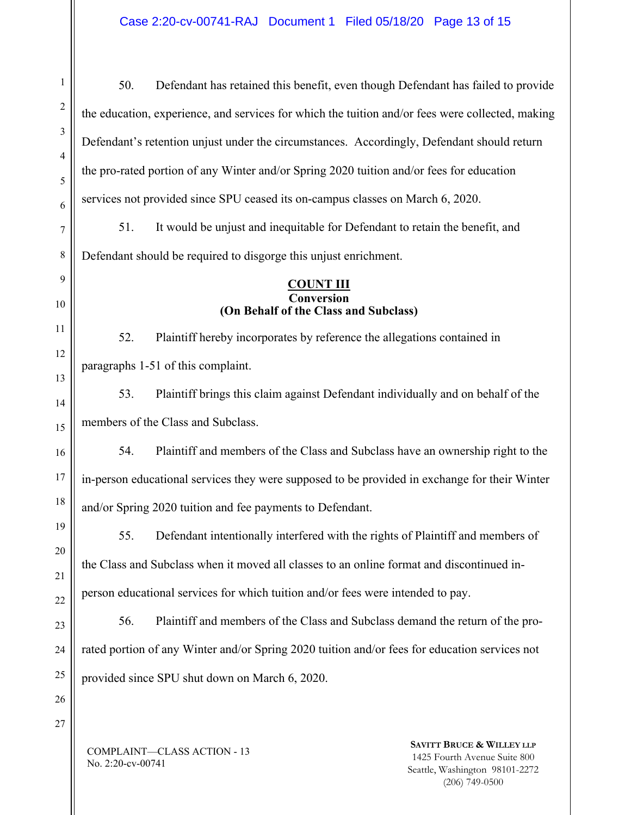COMPLAINT—CLASS ACTION - 13 **SAVITT BRUCE & WILLEY LLP** 1425 Fourth Avenue Suite 800 1 2 3 4 5 6 7 8 9 50. Defendant has retained this benefit, even though Defendant has failed to provide the education, experience, and services for which the tuition and/or fees were collected, making Defendant's retention unjust under the circumstances. Accordingly, Defendant should return the pro-rated portion of any Winter and/or Spring 2020 tuition and/or fees for education services not provided since SPU ceased its on-campus classes on March 6, 2020. 51. It would be unjust and inequitable for Defendant to retain the benefit, and Defendant should be required to disgorge this unjust enrichment. **COUNT III Conversion (On Behalf of the Class and Subclass)**  52. Plaintiff hereby incorporates by reference the allegations contained in paragraphs 1-51 of this complaint. 53. Plaintiff brings this claim against Defendant individually and on behalf of the members of the Class and Subclass. 54. Plaintiff and members of the Class and Subclass have an ownership right to the in-person educational services they were supposed to be provided in exchange for their Winter and/or Spring 2020 tuition and fee payments to Defendant. 55. Defendant intentionally interfered with the rights of Plaintiff and members of the Class and Subclass when it moved all classes to an online format and discontinued inperson educational services for which tuition and/or fees were intended to pay. 56. Plaintiff and members of the Class and Subclass demand the return of the prorated portion of any Winter and/or Spring 2020 tuition and/or fees for education services not provided since SPU shut down on March 6, 2020.

No. 2:20-cv-00741

Seattle, Washington 98101-2272 (206) 749-0500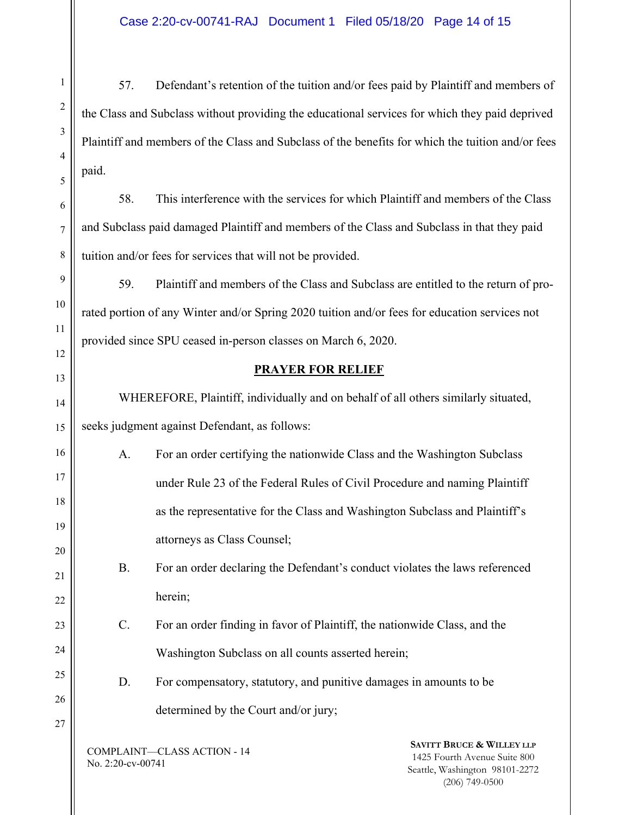57. Defendant's retention of the tuition and/or fees paid by Plaintiff and members of the Class and Subclass without providing the educational services for which they paid deprived Plaintiff and members of the Class and Subclass of the benefits for which the tuition and/or fees paid.

58. This interference with the services for which Plaintiff and members of the Class and Subclass paid damaged Plaintiff and members of the Class and Subclass in that they paid tuition and/or fees for services that will not be provided.

59. Plaintiff and members of the Class and Subclass are entitled to the return of prorated portion of any Winter and/or Spring 2020 tuition and/or fees for education services not provided since SPU ceased in-person classes on March 6, 2020.

## **PRAYER FOR RELIEF**

WHEREFORE, Plaintiff, individually and on behalf of all others similarly situated, seeks judgment against Defendant, as follows:

A. For an order certifying the nationwide Class and the Washington Subclass under Rule 23 of the Federal Rules of Civil Procedure and naming Plaintiff as the representative for the Class and Washington Subclass and Plaintiff's attorneys as Class Counsel;

B. For an order declaring the Defendant's conduct violates the laws referenced herein;

C. For an order finding in favor of Plaintiff, the nationwide Class, and the Washington Subclass on all counts asserted herein;

D. For compensatory, statutory, and punitive damages in amounts to be determined by the Court and/or jury;

COMPLAINT—CLASS ACTION - 14 No. 2:20-cv-00741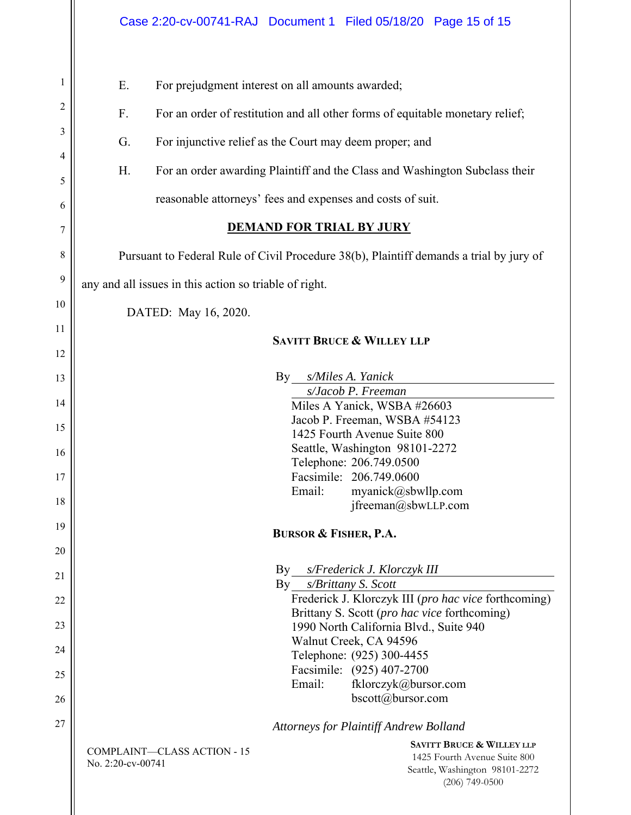|                                                        | Case 2:20-cv-00741-RAJ Document 1 Filed 05/18/20 Page 15 of 15                                                                                                                                                                                                                                                                                                                                                                                                                                  |  |  |  |  |  |  |  |
|--------------------------------------------------------|-------------------------------------------------------------------------------------------------------------------------------------------------------------------------------------------------------------------------------------------------------------------------------------------------------------------------------------------------------------------------------------------------------------------------------------------------------------------------------------------------|--|--|--|--|--|--|--|
| 1<br>2<br>3<br>4<br>5<br>6<br>$\overline{7}$<br>8<br>9 | Ε.<br>For prejudgment interest on all amounts awarded;<br>F.<br>For an order of restitution and all other forms of equitable monetary relief;<br>G.<br>For injunctive relief as the Court may deem proper; and<br>For an order awarding Plaintiff and the Class and Washington Subclass their<br>Н.<br>reasonable attorneys' fees and expenses and costs of suit.<br><b>DEMAND FOR TRIAL BY JURY</b><br>Pursuant to Federal Rule of Civil Procedure 38(b), Plaintiff demands a trial by jury of |  |  |  |  |  |  |  |
| 10                                                     | any and all issues in this action so triable of right.                                                                                                                                                                                                                                                                                                                                                                                                                                          |  |  |  |  |  |  |  |
| 11                                                     | DATED: May 16, 2020.                                                                                                                                                                                                                                                                                                                                                                                                                                                                            |  |  |  |  |  |  |  |
| 12                                                     | <b>SAVITT BRUCE &amp; WILLEY LLP</b>                                                                                                                                                                                                                                                                                                                                                                                                                                                            |  |  |  |  |  |  |  |
| 13                                                     | s/Miles A. Yanick<br>By                                                                                                                                                                                                                                                                                                                                                                                                                                                                         |  |  |  |  |  |  |  |
| 14                                                     | s/Jacob P. Freeman<br>Miles A Yanick, WSBA #26603                                                                                                                                                                                                                                                                                                                                                                                                                                               |  |  |  |  |  |  |  |
| 15                                                     | Jacob P. Freeman, WSBA #54123<br>1425 Fourth Avenue Suite 800                                                                                                                                                                                                                                                                                                                                                                                                                                   |  |  |  |  |  |  |  |
| 16                                                     | Seattle, Washington 98101-2272<br>Telephone: 206.749.0500                                                                                                                                                                                                                                                                                                                                                                                                                                       |  |  |  |  |  |  |  |
| 17                                                     | Facsimile: 206.749.0600<br>Email:<br>myanick@sbwllp.com                                                                                                                                                                                                                                                                                                                                                                                                                                         |  |  |  |  |  |  |  |
| 18<br>19                                               | jfreeman@sbwLLP.com                                                                                                                                                                                                                                                                                                                                                                                                                                                                             |  |  |  |  |  |  |  |
| 20                                                     | <b>BURSOR &amp; FISHER, P.A.</b>                                                                                                                                                                                                                                                                                                                                                                                                                                                                |  |  |  |  |  |  |  |
| 21                                                     | $\rm\,By$<br>s/Frederick J. Klorczyk III                                                                                                                                                                                                                                                                                                                                                                                                                                                        |  |  |  |  |  |  |  |
| 22                                                     | s/Brittany S. Scott<br>By<br>Frederick J. Klorczyk III (pro hac vice forthcoming)                                                                                                                                                                                                                                                                                                                                                                                                               |  |  |  |  |  |  |  |
| 23                                                     | Brittany S. Scott (pro hac vice forthcoming)<br>1990 North California Blvd., Suite 940                                                                                                                                                                                                                                                                                                                                                                                                          |  |  |  |  |  |  |  |
| 24                                                     | Walnut Creek, CA 94596<br>Telephone: (925) 300-4455                                                                                                                                                                                                                                                                                                                                                                                                                                             |  |  |  |  |  |  |  |
| 25                                                     | Facsimile: (925) 407-2700<br>Email:<br>fklorczyk@bursor.com                                                                                                                                                                                                                                                                                                                                                                                                                                     |  |  |  |  |  |  |  |
| 26                                                     | bscott@bursor.com                                                                                                                                                                                                                                                                                                                                                                                                                                                                               |  |  |  |  |  |  |  |
| 27                                                     | <b>Attorneys for Plaintiff Andrew Bolland</b>                                                                                                                                                                                                                                                                                                                                                                                                                                                   |  |  |  |  |  |  |  |
|                                                        | <b>SAVITT BRUCE &amp; WILLEY LLP</b><br><b>COMPLAINT-CLASS ACTION - 15</b><br>1425 Fourth Avenue Suite 800<br>No. 2:20-cv-00741<br>Seattle, Washington 98101-2272<br>$(206)$ 749-0500                                                                                                                                                                                                                                                                                                           |  |  |  |  |  |  |  |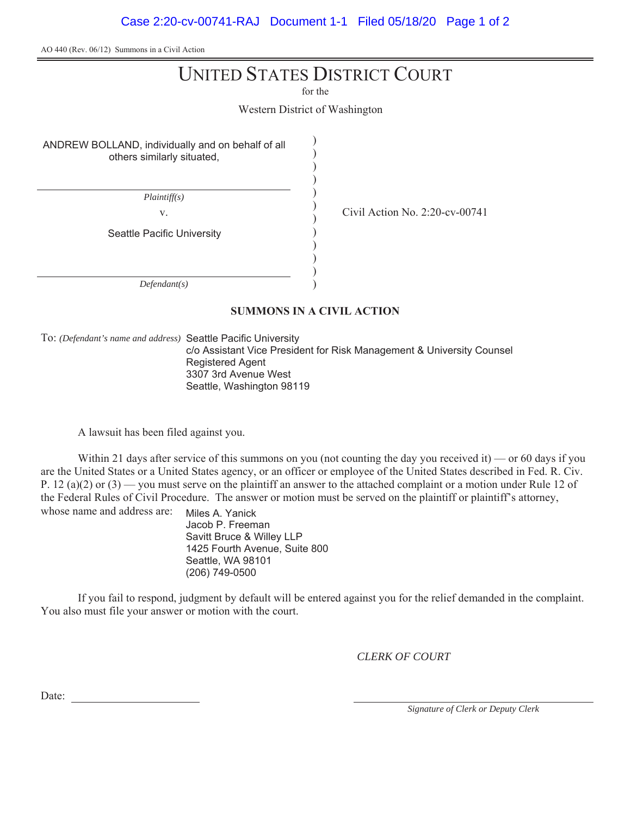AO 440 (Rev. 06/12) Summons in a Civil Action

## UNITED STATES DISTRICT COURT

for the

Western District of Washington

) ) ) ) ) ) ) ) ) )

ANDREW BOLLAND, individually and on behalf of all others similarly situated,

*Plaintiff(s)*

v.  $\frac{1}{2}$  Civil Action No. 2:20-cv-00741

Seattle Pacific University

*Defendant(s)*

#### ) )

### **SUMMONS IN A CIVIL ACTION**

To: *(Defendant's name and address)* Seattle Pacific University

c/o Assistant Vice President for Risk Management & University Counsel Registered Agent 3307 3rd Avenue West Seattle, Washington 98119

A lawsuit has been filed against you.

Within 21 days after service of this summons on you (not counting the day you received it) — or 60 days if you are the United States or a United States agency, or an officer or employee of the United States described in Fed. R. Civ. P. 12 (a)(2) or  $(3)$  — you must serve on the plaintiff an answer to the attached complaint or a motion under Rule 12 of the Federal Rules of Civil Procedure. The answer or motion must be served on the plaintiff or plaintiff's attorney, whose name and address are:

Miles A. Yanick Jacob P. Freeman Savitt Bruce & Willey LLP 1425 Fourth Avenue, Suite 800 Seattle, WA 98101 (206) 749-0500

If you fail to respond, judgment by default will be entered against you for the relief demanded in the complaint. You also must file your answer or motion with the court.

*CLERK OF COURT*

Date:

*Signature of Clerk or Deputy Clerk*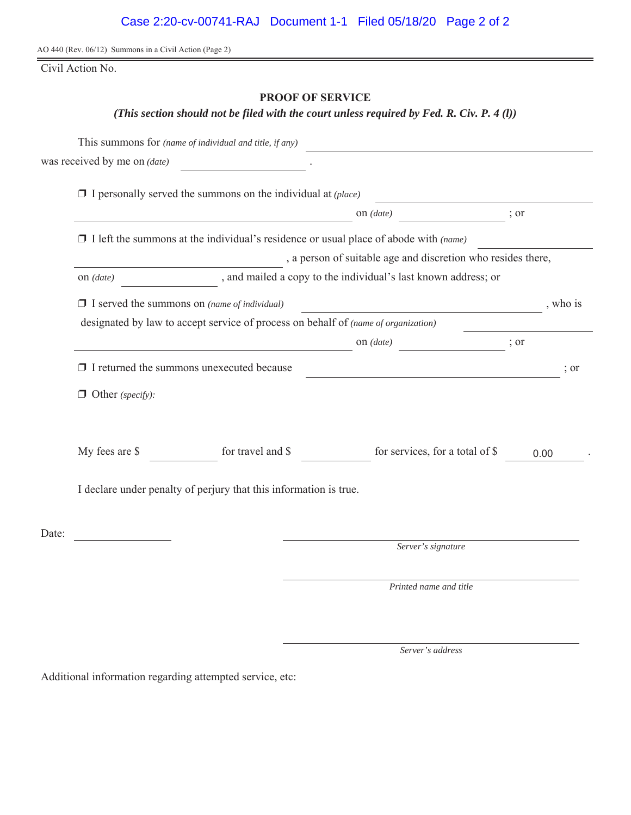AO 440 (Rev. 06/12) Summons in a Civil Action (Page 2)

Civil Action No.

## **PROOF OF SERVICE**

*(This section should not be filed with the court unless required by Fed. R. Civ. P. 4 (l))*

|       |                                                                                             | This summons for (name of individual and title, if any)                            |                                                              |      |          |  |  |
|-------|---------------------------------------------------------------------------------------------|------------------------------------------------------------------------------------|--------------------------------------------------------------|------|----------|--|--|
|       | was received by me on <i>(date)</i>                                                         |                                                                                    |                                                              |      |          |  |  |
|       | $\Box$ I personally served the summons on the individual at (place)                         |                                                                                    |                                                              |      |          |  |  |
|       |                                                                                             |                                                                                    | on $(data)$                                                  | ; or |          |  |  |
|       | $\Box$ I left the summons at the individual's residence or usual place of abode with (name) |                                                                                    |                                                              |      |          |  |  |
|       | , a person of suitable age and discretion who resides there,                                |                                                                                    |                                                              |      |          |  |  |
|       | on $(data)$                                                                                 | , and mailed a copy to the individual's last known address; or                     |                                                              |      |          |  |  |
|       | $\Box$ I served the summons on (name of individual)                                         |                                                                                    | <u> 1980 - Johann Barn, fransk politik fotball (d. 1980)</u> |      | , who is |  |  |
|       |                                                                                             | designated by law to accept service of process on behalf of (name of organization) |                                                              |      |          |  |  |
|       |                                                                                             |                                                                                    | on $(data)$                                                  | ; or |          |  |  |
|       |                                                                                             | $\Box$ I returned the summons unexecuted because                                   | <u> 1980 - Johann Barbara, martin amerikan personal (</u>    |      | ; or     |  |  |
|       | $\Box$ Other (specify):                                                                     |                                                                                    |                                                              |      |          |  |  |
|       | My fees are \$                                                                              | for travel and \$                                                                  | for services, for a total of \$                              | 0.00 |          |  |  |
|       | I declare under penalty of perjury that this information is true.                           |                                                                                    |                                                              |      |          |  |  |
| Date: |                                                                                             |                                                                                    |                                                              |      |          |  |  |
|       |                                                                                             |                                                                                    | Server's signature                                           |      |          |  |  |
|       |                                                                                             |                                                                                    | Printed name and title                                       |      |          |  |  |
|       |                                                                                             |                                                                                    |                                                              |      |          |  |  |

*Server's address*

Additional information regarding attempted service, etc: